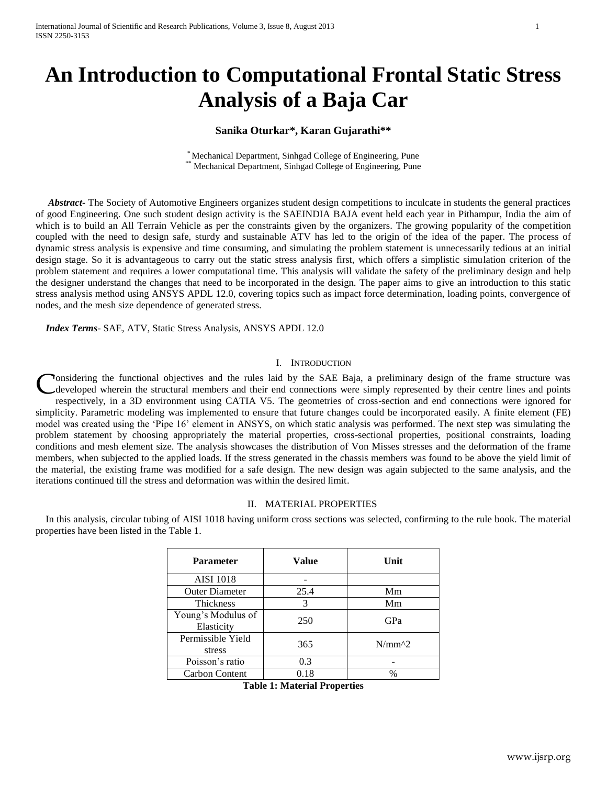# **An Introduction to Computational Frontal Static Stress Analysis of a Baja Car**

## **Sanika Oturkar\*, Karan Gujarathi\*\***

\* Mechanical Department, Sinhgad College of Engineering, Pune \*\* Mechanical Department, Sinhgad College of Engineering, Pune

 *Abstract***-** The Society of Automotive Engineers organizes student design competitions to inculcate in students the general practices of good Engineering. One such student design activity is the SAEINDIA BAJA event held each year in Pithampur, India the aim of which is to build an All Terrain Vehicle as per the constraints given by the organizers. The growing popularity of the competition coupled with the need to design safe, sturdy and sustainable ATV has led to the origin of the idea of the paper. The process of dynamic stress analysis is expensive and time consuming, and simulating the problem statement is unnecessarily tedious at an initial design stage. So it is advantageous to carry out the static stress analysis first, which offers a simplistic simulation criterion of the problem statement and requires a lower computational time. This analysis will validate the safety of the preliminary design and help the designer understand the changes that need to be incorporated in the design. The paper aims to give an introduction to this static stress analysis method using ANSYS APDL 12.0, covering topics such as impact force determination, loading points, convergence of nodes, and the mesh size dependence of generated stress.

 *Index Terms*- SAE, ATV, Static Stress Analysis, ANSYS APDL 12.0

## I. INTRODUCTION

Tonsidering the functional objectives and the rules laid by the SAE Baja, a preliminary design of the frame structure was developed wherein the structural members and their end connections were simply represented by their centre lines and points respectively, in a 3D environment using CATIA V5. The geometries of cross-section and end connections were ignored for simplicity. Parametric modeling was implemented to ensure that future changes could be incorporated easily. A finite element (FE) model was created using the 'Pipe 16' element in ANSYS, on which static analysis was performed. The next step was simulating the problem statement by choosing appropriately the material properties, cross-sectional properties, positional constraints, loading conditions and mesh element size. The analysis showcases the distribution of Von Misses stresses and the deformation of the frame members, when subjected to the applied loads. If the stress generated in the chassis members was found to be above the yield limit of the material, the existing frame was modified for a safe design. The new design was again subjected to the same analysis, and the iterations continued till the stress and deformation was within the desired limit. C

#### II. MATERIAL PROPERTIES

 In this analysis, circular tubing of AISI 1018 having uniform cross sections was selected, confirming to the rule book. The material properties have been listed in the Table 1.

| Parameter                        | <b>Value</b> | Unit          |  |
|----------------------------------|--------------|---------------|--|
| <b>AISI</b> 1018                 |              |               |  |
| <b>Outer Diameter</b>            | 25.4         | Mm            |  |
| <b>Thickness</b>                 | 3            | Mm            |  |
| Young's Modulus of<br>Elasticity | 250          | GPa           |  |
| Permissible Yield<br>stress      | 365          | $N/mm^{2}$    |  |
| Poisson's ratio                  | 0.3          |               |  |
| Carbon Content                   | 0.18         | $\frac{0}{0}$ |  |

**Table 1: Material Properties**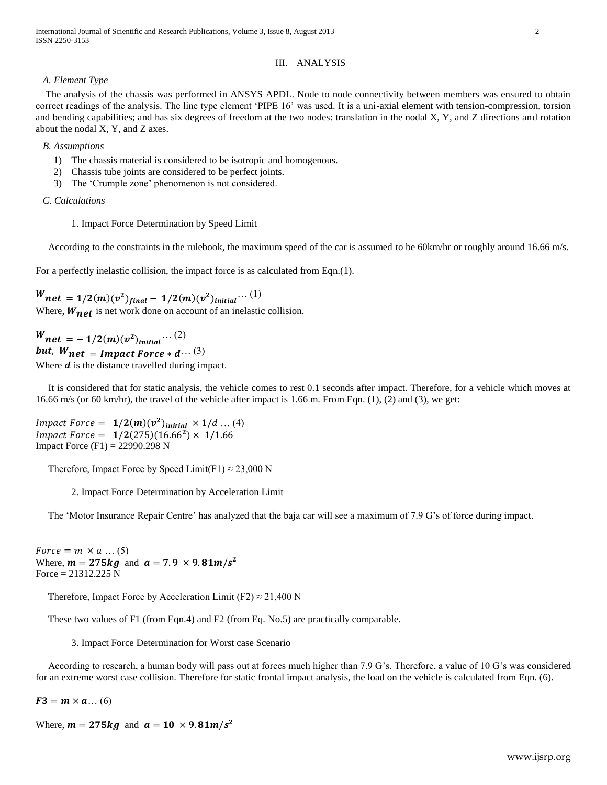International Journal of Scientific and Research Publications, Volume 3, Issue 8, August 2013 2 ISSN 2250-3153

#### III. ANALYSIS

#### *A. Element Type*

 The analysis of the chassis was performed in ANSYS APDL. Node to node connectivity between members was ensured to obtain correct readings of the analysis. The line type element 'PIPE 16' was used. It is a uni-axial element with tension-compression, torsion and bending capabilities; and has six degrees of freedom at the two nodes: translation in the nodal X, Y, and Z directions and rotation about the nodal X, Y, and Z axes.

## *B. Assumptions*

- 1) The chassis material is considered to be isotropic and homogenous.
- 2) Chassis tube joints are considered to be perfect joints.
- 3) The 'Crumple zone' phenomenon is not considered.

#### *C. Calculations*

1. Impact Force Determination by Speed Limit

According to the constraints in the rulebook, the maximum speed of the car is assumed to be 60km/hr or roughly around 16.66 m/s.

For a perfectly inelastic collision, the impact force is as calculated from Eqn.(1).

 ${W}_{\textit{net}} = 1/2(m) (v^2)_{final} - 1/2(m) (v^2)_{initial} \cdots (1)$ Where,  $W_{net}$  is net work done on account of an inelastic collision.

 $W_{\bm{n}\bm{e}\bm{t}} = -\,1/2(\bm{m})(v^2)_{initial}\cdots (2)$ but,  $W_{net}$  = Impact Force  $*d \cdots (3)$ Where  $\boldsymbol{d}$  is the distance travelled during impact.

 It is considered that for static analysis, the vehicle comes to rest 0.1 seconds after impact. Therefore, for a vehicle which moves at 16.66 m/s (or 60 km/hr), the travel of the vehicle after impact is 1.66 m. From Eqn.  $(1)$ ,  $(2)$  and  $(3)$ , we get:

*Impact Force* =  $1/2(m)(v^2)_{initial} \times 1/d ... (4)$ *Impact Force* =  $1/2(275)(16.66^2)$  × Impact Force  $(F1) = 22990.298$  N

Therefore, Impact Force by Speed Limit(F1)  $\approx$  23,000 N

2. Impact Force Determination by Acceleration Limit

The 'Motor Insurance Repair Centre' has analyzed that the baja car will see a maximum of 7.9 G's of force during impact.

Force =  $m \times a$  ... (5) Where,  $m = 275kg$  and  $a = 7.9 \times 9.81m/s^2$ Force =  $21312.225$  N

Therefore, Impact Force by Acceleration Limit (F2)  $\approx$  21,400 N

These two values of F1 (from Eqn.4) and F2 (from Eq. No.5) are practically comparable.

3. Impact Force Determination for Worst case Scenario

 According to research, a human body will pass out at forces much higher than 7.9 G's. Therefore, a value of 10 G's was considered for an extreme worst case collision. Therefore for static frontal impact analysis, the load on the vehicle is calculated from Eqn. (6).

 $F3 = m \times a$ ... (6)

Where,  $m = 275kg$  and  $a = 10 \times 9.81m/s^2$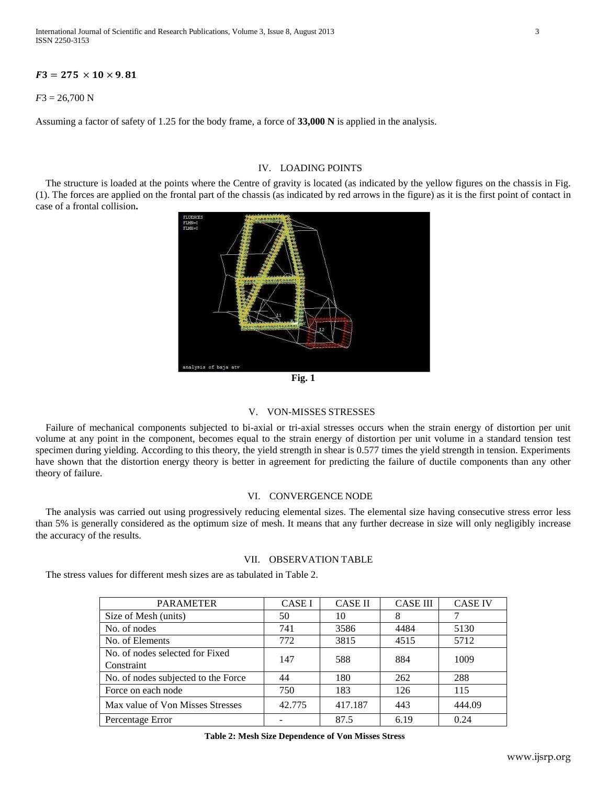International Journal of Scientific and Research Publications, Volume 3, Issue 8, August 2013 3 ISSN 2250-3153

## $F3 = 275 \times 10 \times 9.81$

*F*3 = 26,700 N

Assuming a factor of safety of 1.25 for the body frame, a force of **33,000 N** is applied in the analysis.

## IV. LOADING POINTS

 The structure is loaded at the points where the Centre of gravity is located (as indicated by the yellow figures on the chassis in Fig. (1). The forces are applied on the frontal part of the chassis (as indicated by red arrows in the figure) as it is the first point of contact in case of a frontal collision**.**





## V. VON-MISSES STRESSES

 Failure of mechanical components subjected to bi-axial or tri-axial stresses occurs when the strain energy of distortion per unit volume at any point in the component, becomes equal to the strain energy of distortion per unit volume in a standard tension test specimen during yielding. According to this theory, the yield strength in shear is 0.577 times the yield strength in tension. Experiments have shown that the distortion energy theory is better in agreement for predicting the failure of ductile components than any other theory of failure.

## VI. CONVERGENCE NODE

The analysis was carried out using progressively reducing elemental sizes. The elemental size having consecutive stress error less than 5% is generally considered as the optimum size of mesh. It means that any further decrease in size will only negligibly increase the accuracy of the results.

#### VII. OBSERVATION TABLE

The stress values for different mesh sizes are as tabulated in Table 2.

| <b>PARAMETER</b>                    | <b>CASE I</b> | <b>CASE II</b> | <b>CASE III</b> | <b>CASE IV</b> |
|-------------------------------------|---------------|----------------|-----------------|----------------|
| Size of Mesh (units)                | 50            | 10             | 8               |                |
| No. of nodes                        | 741           | 3586           | 4484            | 5130           |
| No. of Elements                     | 772           | 3815           | 4515            | 5712           |
| No. of nodes selected for Fixed     | 147           | 588            | 884             | 1009           |
| Constraint                          |               |                |                 |                |
| No. of nodes subjected to the Force | 44            | 180            | 262             | 288            |
| Force on each node                  | 750           | 183            | 126             | 115            |
| Max value of Von Misses Stresses    | 42.775        | 417.187        | 443             | 444.09         |
| Percentage Error                    |               | 87.5           | 6.19            | 0.24           |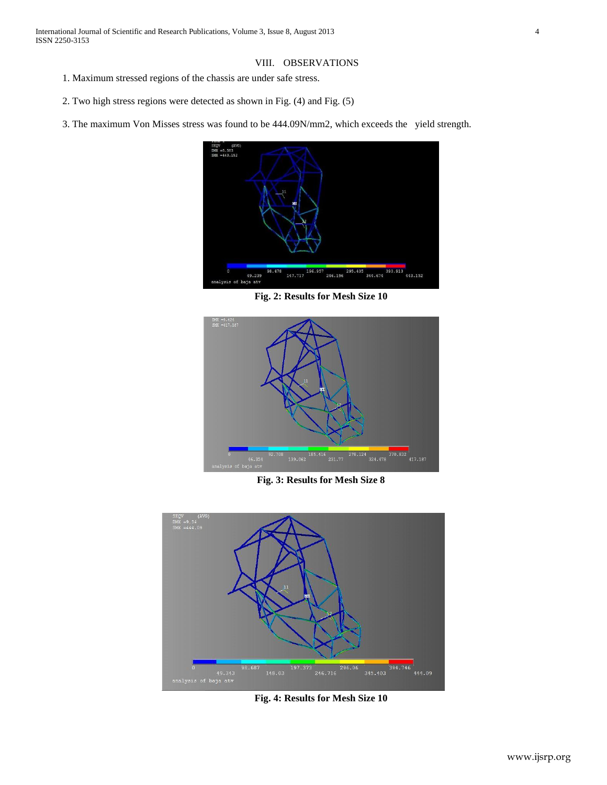## VIII. OBSERVATIONS

- 1. Maximum stressed regions of the chassis are under safe stress.
- 2. Two high stress regions were detected as shown in Fig. (4) and Fig. (5)
- 3. The maximum Von Misses stress was found to be 444.09N/mm2, which exceeds the yield strength.



**Fig. 2: Results for Mesh Size 10**



**Fig. 3: Results for Mesh Size 8**



**Fig. 4: Results for Mesh Size 10**